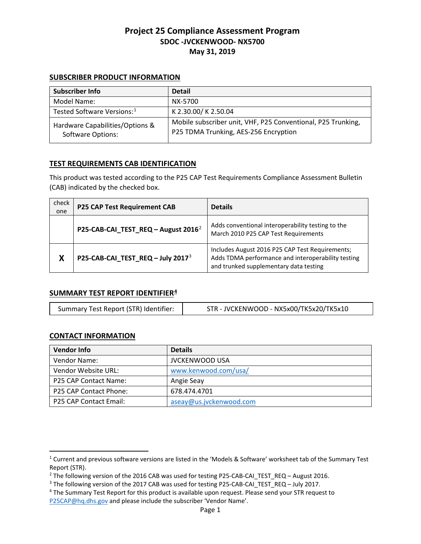#### **SUBSCRIBER PRODUCT INFORMATION**

| Subscriber Info                                      | <b>Detail</b>                                                                                         |
|------------------------------------------------------|-------------------------------------------------------------------------------------------------------|
| Model Name:                                          | NX-5700                                                                                               |
| Tested Software Versions: <sup>1</sup>               | K 2.30.00/K 2.50.04                                                                                   |
| Hardware Capabilities/Options &<br>Software Options: | Mobile subscriber unit, VHF, P25 Conventional, P25 Trunking,<br>P25 TDMA Trunking, AES-256 Encryption |

## **TEST REQUIREMENTS CAB IDENTIFICATION**

This product was tested according to the P25 CAP Test Requirements Compliance Assessment Bulletin (CAB) indicated by the checked box.

| check<br>one | <b>P25 CAP Test Requirement CAB</b>             | <b>Details</b>                                                                                                                                  |
|--------------|-------------------------------------------------|-------------------------------------------------------------------------------------------------------------------------------------------------|
|              | P25-CAB-CAI_TEST_REQ - August 2016 <sup>2</sup> | Adds conventional interoperability testing to the<br>March 2010 P25 CAP Test Requirements                                                       |
| X            | P25-CAB-CAI_TEST_REQ - July 2017 <sup>3</sup>   | Includes August 2016 P25 CAP Test Requirements;<br>Adds TDMA performance and interoperability testing<br>and trunked supplementary data testing |

### **SUMMARY TEST REPORT IDENTIFIER[4](#page-0-3)**

| Summary Test Report (STR) Identifier: | STR - JVCKENWOOD - NX5x00/TK5x20/TK5x10 |
|---------------------------------------|-----------------------------------------|
|---------------------------------------|-----------------------------------------|

### **CONTACT INFORMATION**

 $\overline{a}$ 

| <b>Vendor Info</b>            | <b>Details</b>          |
|-------------------------------|-------------------------|
| Vendor Name:                  | <b>JVCKENWOOD USA</b>   |
| Vendor Website URL:           | www.kenwood.com/usa/    |
| P25 CAP Contact Name:         | Angie Seay              |
| <b>P25 CAP Contact Phone:</b> | 678.474.4701            |
| P25 CAP Contact Email:        | aseay@us.jvckenwood.com |

<span id="page-0-0"></span><sup>1</sup> Current and previous software versions are listed in the 'Models & Software' worksheet tab of the Summary Test Report (STR).

<span id="page-0-1"></span><sup>&</sup>lt;sup>2</sup> The following version of the 2016 CAB was used for testing P25-CAB-CAI\_TEST\_REQ – August 2016.

<span id="page-0-2"></span><sup>&</sup>lt;sup>3</sup> The following version of the 2017 CAB was used for testing P25-CAB-CAI\_TEST\_REQ – July 2017.<br><sup>4</sup> The Summary Test Report for this product is available upon request. Please send your STR request to

<span id="page-0-3"></span>[P25CAP@hq.dhs.gov](mailto:P25CAP@hq.dhs.gov) and please include the subscriber 'Vendor Name'.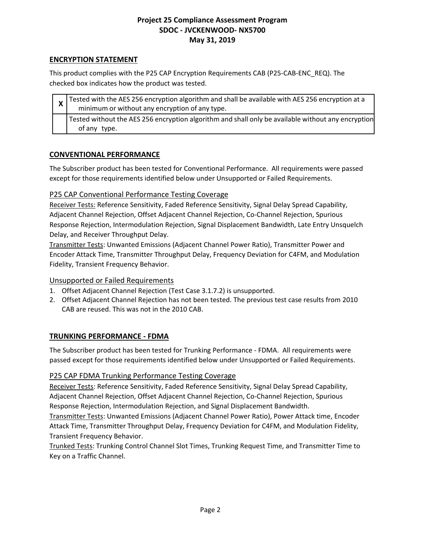## **ENCRYPTION STATEMENT**

This product complies with the P25 CAP Encryption Requirements CAB (P25-CAB-ENC\_REQ). The checked box indicates how the product was tested.

| $\frac{1}{x}$ Tested with the AES 256 encryption algorithm and shall be available with AES 256 encryption at a<br>minimum or without any encryption of any type. |
|------------------------------------------------------------------------------------------------------------------------------------------------------------------|
| Tested without the AES 256 encryption algorithm and shall only be available without any encryption<br>of any type.                                               |

## **CONVENTIONAL PERFORMANCE**

The Subscriber product has been tested for Conventional Performance. All requirements were passed except for those requirements identified below under Unsupported or Failed Requirements.

## P25 CAP Conventional Performance Testing Coverage

Receiver Tests: Reference Sensitivity, Faded Reference Sensitivity, Signal Delay Spread Capability, Adjacent Channel Rejection, Offset Adjacent Channel Rejection, Co-Channel Rejection, Spurious Response Rejection, Intermodulation Rejection, Signal Displacement Bandwidth, Late Entry Unsquelch Delay, and Receiver Throughput Delay.

Transmitter Tests: Unwanted Emissions (Adjacent Channel Power Ratio), Transmitter Power and Encoder Attack Time, Transmitter Throughput Delay, Frequency Deviation for C4FM, and Modulation Fidelity, Transient Frequency Behavior.

### Unsupported or Failed Requirements

- 1. Offset Adjacent Channel Rejection (Test Case 3.1.7.2) is unsupported.
- 2. Offset Adjacent Channel Rejection has not been tested. The previous test case results from 2010 CAB are reused. This was not in the 2010 CAB.

# **TRUNKING PERFORMANCE - FDMA**

The Subscriber product has been tested for Trunking Performance - FDMA. All requirements were passed except for those requirements identified below under Unsupported or Failed Requirements.

### P25 CAP FDMA Trunking Performance Testing Coverage

Receiver Tests: Reference Sensitivity, Faded Reference Sensitivity, Signal Delay Spread Capability, Adjacent Channel Rejection, Offset Adjacent Channel Rejection, Co-Channel Rejection, Spurious Response Rejection, Intermodulation Rejection, and Signal Displacement Bandwidth.

Transmitter Tests: Unwanted Emissions (Adjacent Channel Power Ratio), Power Attack time, Encoder Attack Time, Transmitter Throughput Delay, Frequency Deviation for C4FM, and Modulation Fidelity, Transient Frequency Behavior.

Trunked Tests: Trunking Control Channel Slot Times, Trunking Request Time, and Transmitter Time to Key on a Traffic Channel.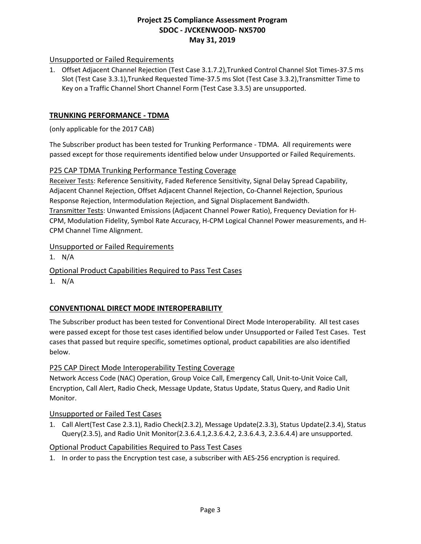## Unsupported or Failed Requirements

1. Offset Adjacent Channel Rejection (Test Case 3.1.7.2),Trunked Control Channel Slot Times-37.5 ms Slot (Test Case 3.3.1),Trunked Requested Time-37.5 ms Slot (Test Case 3.3.2),Transmitter Time to Key on a Traffic Channel Short Channel Form (Test Case 3.3.5) are unsupported.

### **TRUNKING PERFORMANCE - TDMA**

(only applicable for the 2017 CAB)

The Subscriber product has been tested for Trunking Performance - TDMA. All requirements were passed except for those requirements identified below under Unsupported or Failed Requirements.

### P25 CAP TDMA Trunking Performance Testing Coverage

Receiver Tests: Reference Sensitivity, Faded Reference Sensitivity, Signal Delay Spread Capability, Adjacent Channel Rejection, Offset Adjacent Channel Rejection, Co-Channel Rejection, Spurious Response Rejection, Intermodulation Rejection, and Signal Displacement Bandwidth. Transmitter Tests: Unwanted Emissions (Adjacent Channel Power Ratio), Frequency Deviation for H-CPM, Modulation Fidelity, Symbol Rate Accuracy, H-CPM Logical Channel Power measurements, and H-CPM Channel Time Alignment.

#### Unsupported or Failed Requirements

1. N/A

Optional Product Capabilities Required to Pass Test Cases

1. N/A

# **CONVENTIONAL DIRECT MODE INTEROPERABILITY**

The Subscriber product has been tested for Conventional Direct Mode Interoperability. All test cases were passed except for those test cases identified below under Unsupported or Failed Test Cases. Test cases that passed but require specific, sometimes optional, product capabilities are also identified below.

### P25 CAP Direct Mode Interoperability Testing Coverage

Network Access Code (NAC) Operation, Group Voice Call, Emergency Call, Unit-to-Unit Voice Call, Encryption, Call Alert, Radio Check, Message Update, Status Update, Status Query, and Radio Unit Monitor.

### Unsupported or Failed Test Cases

1. Call Alert(Test Case 2.3.1), Radio Check(2.3.2), Message Update(2.3.3), Status Update(2.3.4), Status Query(2.3.5), and Radio Unit Monitor(2.3.6.4.1,2.3.6.4.2, 2.3.6.4.3, 2.3.6.4.4) are unsupported.

### Optional Product Capabilities Required to Pass Test Cases

1. In order to pass the Encryption test case, a subscriber with AES-256 encryption is required.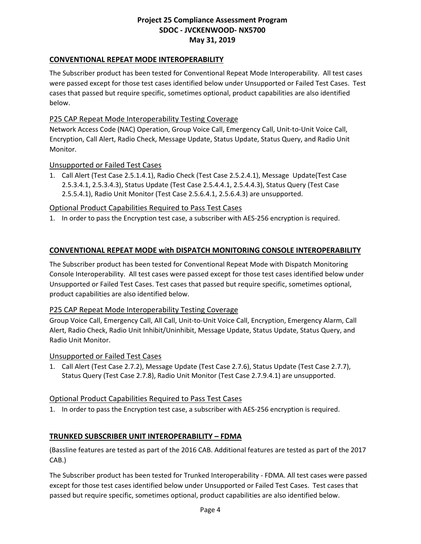## **CONVENTIONAL REPEAT MODE INTEROPERABILITY**

The Subscriber product has been tested for Conventional Repeat Mode Interoperability. All test cases were passed except for those test cases identified below under Unsupported or Failed Test Cases. Test cases that passed but require specific, sometimes optional, product capabilities are also identified below.

### P25 CAP Repeat Mode Interoperability Testing Coverage

Network Access Code (NAC) Operation, Group Voice Call, Emergency Call, Unit-to-Unit Voice Call, Encryption, Call Alert, Radio Check, Message Update, Status Update, Status Query, and Radio Unit Monitor.

#### Unsupported or Failed Test Cases

1. Call Alert (Test Case 2.5.1.4.1), Radio Check (Test Case 2.5.2.4.1), Message Update(Test Case 2.5.3.4.1, 2.5.3.4.3), Status Update (Test Case 2.5.4.4.1, 2.5.4.4.3), Status Query (Test Case 2.5.5.4.1), Radio Unit Monitor (Test Case 2.5.6.4.1, 2.5.6.4.3) are unsupported.

#### Optional Product Capabilities Required to Pass Test Cases

1. In order to pass the Encryption test case, a subscriber with AES-256 encryption is required.

#### **CONVENTIONAL REPEAT MODE with DISPATCH MONITORING CONSOLE INTEROPERABILITY**

The Subscriber product has been tested for Conventional Repeat Mode with Dispatch Monitoring Console Interoperability. All test cases were passed except for those test cases identified below under Unsupported or Failed Test Cases. Test cases that passed but require specific, sometimes optional, product capabilities are also identified below.

#### P25 CAP Repeat Mode Interoperability Testing Coverage

Group Voice Call, Emergency Call, All Call, Unit-to-Unit Voice Call, Encryption, Emergency Alarm, Call Alert, Radio Check, Radio Unit Inhibit/Uninhibit, Message Update, Status Update, Status Query, and Radio Unit Monitor.

#### Unsupported or Failed Test Cases

1. Call Alert (Test Case 2.7.2), Message Update (Test Case 2.7.6), Status Update (Test Case 2.7.7), Status Query (Test Case 2.7.8), Radio Unit Monitor (Test Case 2.7.9.4.1) are unsupported.

### Optional Product Capabilities Required to Pass Test Cases

1. In order to pass the Encryption test case, a subscriber with AES-256 encryption is required.

### **TRUNKED SUBSCRIBER UNIT INTEROPERABILITY – FDMA**

(Bassline features are tested as part of the 2016 CAB. Additional features are tested as part of the 2017 CAB.)

The Subscriber product has been tested for Trunked Interoperability - FDMA. All test cases were passed except for those test cases identified below under Unsupported or Failed Test Cases. Test cases that passed but require specific, sometimes optional, product capabilities are also identified below.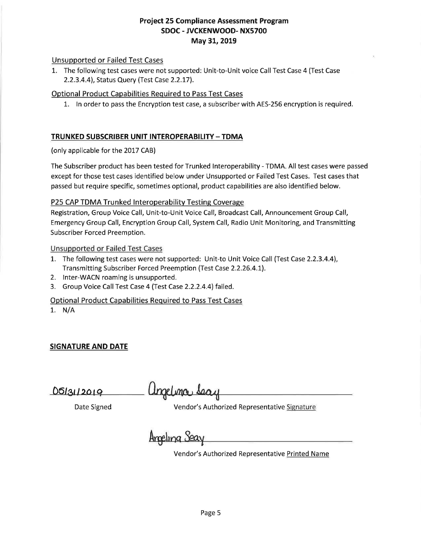#### Unsupported or Failed Test Cases

1. The following test cases were not supported: Unit-to-Unit voice Call Test Case 4 (Test Case 2.2.3.4.4), Status Query (Test Case 2.2.17).

#### Optional Product Capabilities Required to Pass Test Cases

1. In order to pass the Encryption test case, a subscriber with AES-256 encryption is required.

### **TRUNKED SUBSCRIBER UNIT INTEROPERABILITY-TOMA**

(only applicable for the 2017 CAB)

The Subscriber product has been tested for Trunked Interoperability - TOMA. All test cases were passed except for those test cases identified below under Unsupported or Failed Test Cases. Test cases that passed but require specific, sometimes optional, product capabilities are also identified below.

### P25 CAP TDMA Trunked Interoperability Testing Coverage

Registration, Group Voice Call, Unit-to-Unit Voice Call, Broadcast Call, Announcement Group Call, Emergency Group Call, Encryption Group Call, System Call, Radio Unit Monitoring, and Transmitting Subscriber Forced Preemption.

#### Unsupported or Failed Test Cases

- 1. The following test cases were not supported: Unit-to Unit Voice Call (Test Case 2.2.3.4.4), Transmitting Subscriber Forced Preemption (Test Case 2.2.26.4.1).
- 2. lnter-WACN roaming is unsupported.
- 3. Group Voice Call Test Case 4 (Test Case 2.2.2.4.4) failed.

### Optional Product Capabilities Required to Pass Test Cases

1. N/A

# **SIGNATURE AND DATE**

 **\_\_\_ --- ------**

Date Signed Vendor's Authorized Representative Signature

Ameling Sea

Vendor's Authorized Representative Printed Name